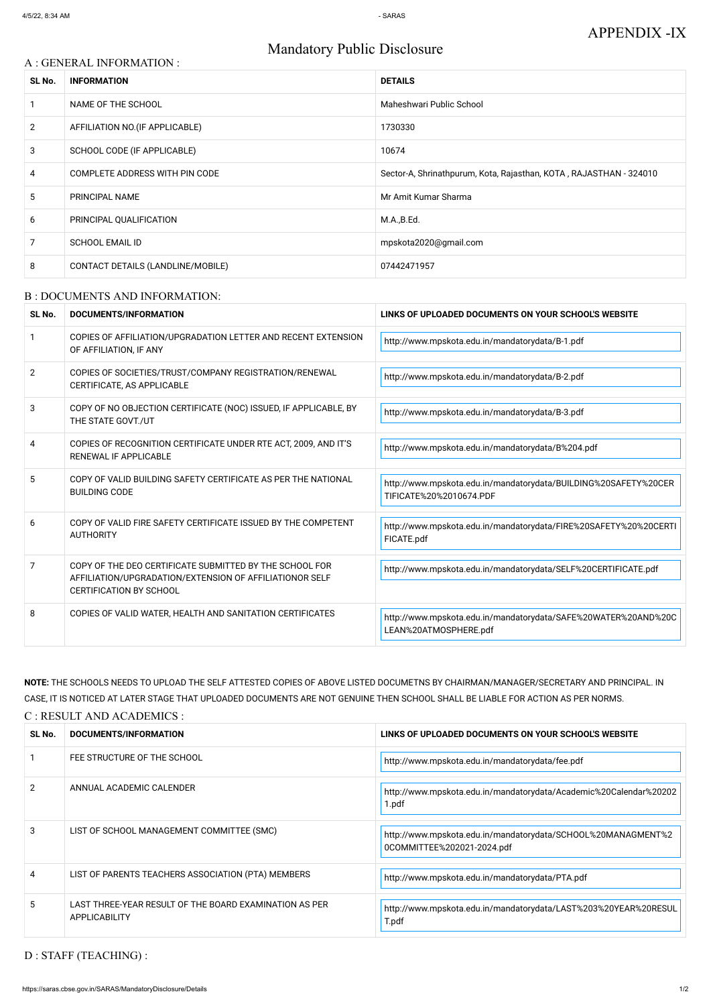# Mandatory Public Disclosure

## A : GENERAL INFORMATION :

| SL No.         | <b>INFORMATION</b>                | <b>DETAILS</b>                                                     |  |
|----------------|-----------------------------------|--------------------------------------------------------------------|--|
|                | NAME OF THE SCHOOL                | Maheshwari Public School                                           |  |
| $\overline{2}$ | AFFILIATION NO. (IF APPLICABLE)   | 1730330                                                            |  |
| 3              | SCHOOL CODE (IF APPLICABLE)       | 10674                                                              |  |
| 4              | COMPLETE ADDRESS WITH PIN CODE    | Sector-A, Shrinathpurum, Kota, Rajasthan, KOTA, RAJASTHAN - 324010 |  |
| 5              | PRINCIPAL NAME                    | Mr Amit Kumar Sharma                                               |  |
| 6              | PRINCIPAL QUALIFICATION           | M.A.,B.Ed.                                                         |  |
| 7              | <b>SCHOOL EMAIL ID</b>            | mpskota2020@gmail.com                                              |  |
| 8              | CONTACT DETAILS (LANDLINE/MOBILE) | 07442471957                                                        |  |

#### B : DOCUMENTS AND INFORMATION:

| SL No.         | <b>DOCUMENTS/INFORMATION</b>                                                                                                                         | LINKS OF UPLOADED DOCUMENTS ON YOUR SCHOOL'S WEBSITE                                       |  |
|----------------|------------------------------------------------------------------------------------------------------------------------------------------------------|--------------------------------------------------------------------------------------------|--|
|                | COPIES OF AFFILIATION/UPGRADATION LETTER AND RECENT EXTENSION<br>OF AFFILIATION, IF ANY                                                              | http://www.mpskota.edu.in/mandatorydata/B-1.pdf                                            |  |
| $\overline{2}$ | COPIES OF SOCIETIES/TRUST/COMPANY REGISTRATION/RENEWAL<br>CERTIFICATE, AS APPLICABLE                                                                 | http://www.mpskota.edu.in/mandatorydata/B-2.pdf                                            |  |
| 3              | COPY OF NO OBJECTION CERTIFICATE (NOC) ISSUED, IF APPLICABLE, BY<br>THE STATE GOVT./UT                                                               | http://www.mpskota.edu.in/mandatorydata/B-3.pdf                                            |  |
| 4              | COPIES OF RECOGNITION CERTIFICATE UNDER RTE ACT, 2009, AND IT'S<br>RENEWAL IF APPLICABLE                                                             | http://www.mpskota.edu.in/mandatorydata/B%204.pdf                                          |  |
| 5              | COPY OF VALID BUILDING SAFETY CERTIFICATE AS PER THE NATIONAL<br><b>BUILDING CODE</b>                                                                | http://www.mpskota.edu.in/mandatorydata/BUILDING%20SAFETY%20CER<br>TIFICATE%20%2010674.PDF |  |
| 6              | COPY OF VALID FIRE SAFETY CERTIFICATE ISSUED BY THE COMPETENT<br><b>AUTHORITY</b>                                                                    | http://www.mpskota.edu.in/mandatorydata/FIRE%20SAFETY%20%20CERTI<br>FICATE.pdf             |  |
| 7              | COPY OF THE DEO CERTIFICATE SUBMITTED BY THE SCHOOL FOR<br>AFFILIATION/UPGRADATION/EXTENSION OF AFFILIATIONOR SELF<br><b>CERTIFICATION BY SCHOOL</b> | http://www.mpskota.edu.in/mandatorydata/SELF%20CERTIFICATE.pdf                             |  |
| 8              | COPIES OF VALID WATER, HEALTH AND SANITATION CERTIFICATES                                                                                            | http://www.mpskota.edu.in/mandatorydata/SAFE%20WATER%20AND%20C<br>LEAN%20ATMOSPHERE.pdf    |  |

|    | FEE STRUCTURE OF THE SCHOOL                                                    | http://www.mpskota.edu.in/mandatorydata/fee.pdf                                            |
|----|--------------------------------------------------------------------------------|--------------------------------------------------------------------------------------------|
|    | ANNUAL ACADEMIC CALENDER                                                       | http://www.mpskota.edu.in/mandatorydata/Academic%20Calendar%20202<br>1.pdf                 |
| 3  | LIST OF SCHOOL MANAGEMENT COMMITTEE (SMC)                                      | http://www.mpskota.edu.in/mandatorydata/SCHOOL%20MANAGMENT%2<br>0COMMITTEE%202021-2024.pdf |
| 4  | LIST OF PARENTS TEACHERS ASSOCIATION (PTA) MEMBERS                             | http://www.mpskota.edu.in/mandatorydata/PTA.pdf                                            |
| 5. | LAST THREE-YEAR RESULT OF THE BOARD EXAMINATION AS PER<br><b>APPLICABILITY</b> | http://www.mpskota.edu.in/mandatorydata/LAST%203%20YEAR%20RESUL<br>T.pdf                   |

# **NOTE:** THE SCHOOLS NEEDS TO UPLOAD THE SELF ATTESTED COPIES OF ABOVE LISTED DOCUMETNS BY CHAIRMAN/MANAGER/SECRETARY AND PRINCIPAL. IN CASE, IT IS NOTICED AT LATER STAGE THAT UPLOADED DOCUMENTS ARE NOT GENUINE THEN SCHOOL SHALL BE LIABLE FOR ACTION AS PER NORMS.

### C : RESULT AND ACADEMICS :

| SL No. | CUMENTS/INFORMATION<br>nnr                | <b>WEBSITE</b><br>FUPLOADED DOCUMENTS ON YOUR SCHOOL'<br><b>INK</b><br>. OF |
|--------|-------------------------------------------|-----------------------------------------------------------------------------|
|        | ^TI IRE ∩E THE S∩HNNI<br><b>FFF SIRIK</b> |                                                                             |

# D : STAFF (TEACHING) :